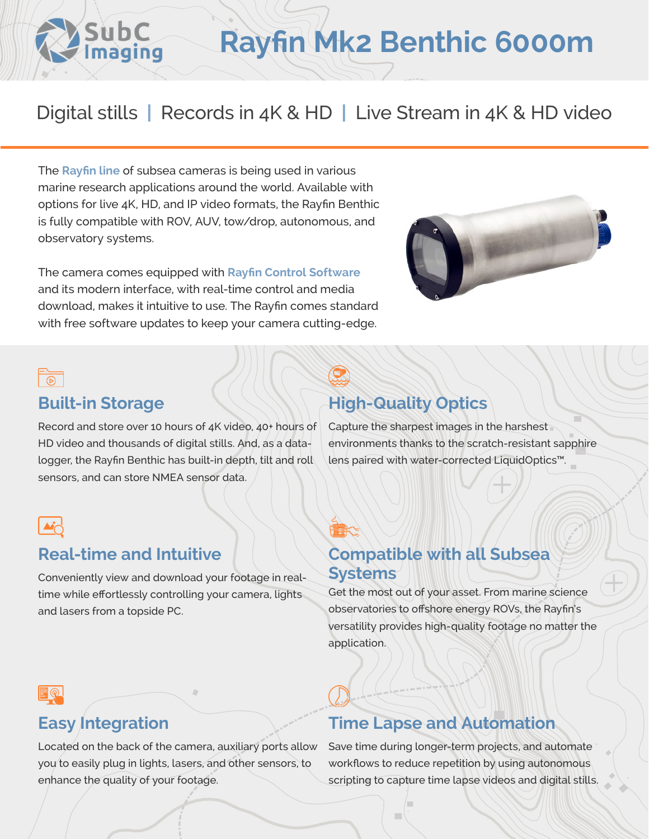# **Rayfin Mk2 Benthic 6000m**

## Digital stills **|** Records in 4K & HD **|** Live Stream in 4K & HD video

The **[Rayfin line](https://www.subcimaging.com/rayfin-liquidoptics)** of subsea cameras is being used in various marine research applications around the world. Available with options for live 4K, HD, and IP video formats, the Rayfin Benthic is fully compatible with ROV, AUV, tow/drop, autonomous, and observatory systems.

The camera comes equipped with **[Rayfin Control Software](https://www.youtube.com/watch?v=-8yuMiMAIyA)** and its modern interface, with real-time control and media download, makes it intuitive to use. The Rayfin comes standard with free software updates to keep your camera cutting-edge.



### $\overline{\circ}$

### **Built-in Storage**

Sut

Record and store over 10 hours of 4K video, 40+ hours of HD video and thousands of digital stills. And, as a datalogger, the Rayfin Benthic has built-in depth, tilt and roll sensors, and can store NMEA sensor data.

### **High-Quality Optics**

Capture the sharpest images in the harshest environments thanks to the scratch-resistant sapphire lens paired with water-corrected LiquidOptics™.

### **Real-time and Intuitive**

Conveniently view and download your footage in realtime while effortlessly controlling your camera, lights and lasers from a topside PC.

### **Compatible with all Subsea Systems**

Get the most out of your asset. From marine science observatories to offshore energy ROVs, the Rayfin's versatility provides high-quality footage no matter the application.

### **Easy Integration**

Located on the back of the camera, auxiliary ports allow you to easily plug in lights, lasers, and other sensors, to enhance the quality of your footage.

### **Time Lapse and Automation**

Save time during longer-term projects, and automate workflows to reduce repetition by using autonomous scripting to capture time lapse videos and digital stills.